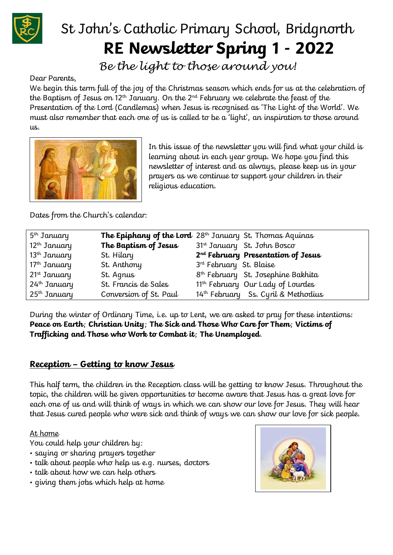

# St John's Catholic Primary School, Bridgnorth **RE Newsletter Spring 1 - 2022**

*Be the light to those around you!*

Dear Parents,

We begin this term full of the joy of the Christmas season which ends for us at the celebration of the Baptism of Jesus on  $12<sup>th</sup>$  January. On the  $2<sup>nd</sup>$  February we celebrate the feast of the Presentation of the Lord (Candlemas) when Jesus is recognised as 'The Light of the World'. We must also remember that each one of us is called to be a 'light', an inspiration to those around us.



In this issue of the newsletter you will find what your child is learning about in each year group. We hope you find this newsletter of interest and as always, please keep us in your prayers as we continue to support your children in their religious education.

Dates from the Church's calendar:

| 5 <sup>th</sup> January  |                        | <b>The Epiphany of the Lord</b> 28 <sup>th</sup> January St. Thomas Aquinas |
|--------------------------|------------------------|-----------------------------------------------------------------------------|
| $12th$ January           | The Baptism of Jesus   | 31st January St. John Bosco                                                 |
| $13th$ January           | St. Hilary             | 2 <sup>nd</sup> February Presentation of Jesus                              |
| $17th$ January           | St. Anthony            | 3 <sup>rd</sup> February St. Blaise                                         |
| 21 <sup>st</sup> January | St. Agnus              | 8 <sup>th</sup> February St. Josephine Bakhita                              |
| 24 <sup>th</sup> January | St. Francis de Sales   | 11 <sup>th</sup> February Our Lady of Lourdes                               |
| $25^{\text{th}}$ January | Conversion of St. Paul | 14th February Ss. Cyril & Methodius                                         |

During the winter of Ordinary Time, i.e. up to Lent, we are asked to pray for these intentions: **Peace on Earth**; **Christian Unity**; **The Sick and Those Who Care for Them**; **Victims of Trafficking and Those who Work to Combat it**; **The Unemployed**.

### **Reception – Getting to know Jesus**

This half term, the children in the Reception class will be getting to know Jesus. Throughout the topic, the children will be given opportunities to become aware that Jesus has a great love for each one of us and will think of ways in which we can show our love for Jesus. They will hear that Jesus cured people who were sick and think of ways we can show our love for sick people.

At home

You could help your children by:

- saying or sharing prayers together
- talk about people who help us e.g. nurses, doctors
- talk about how we can help others
- giving them jobs which help at home

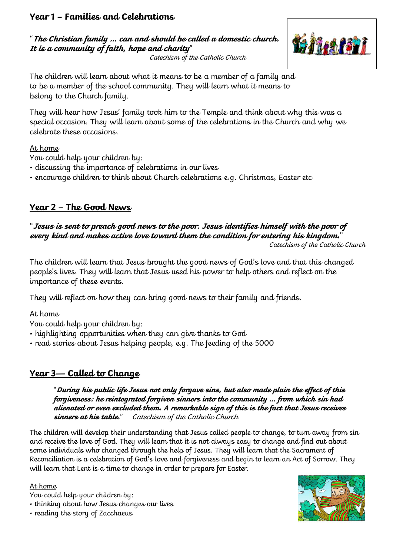## **Year 1 – Families and Celebrations**

"**The Christian family … can and should be called a domestic church. It is a community of faith, hope and charity**"



Catechism of the Catholic Church

The children will learn about what it means to be a member of a family and to be a member of the school community. They will learn what it means to belong to the Church family.

They will hear how Jesus' family took him to the Temple and think about why this was a special occasion. They will learn about some of the celebrations in the Church and why we celebrate these occasions.

#### At home

You could help your children by:

- discussing the importance of celebrations in our lives
- encourage children to think about Church celebrations e.g. Christmas, Easter etc

# **Year 2 – The Good News**

# "**Jesus is sent to preach good news to the poor. Jesus identifies himself with the poor of every kind and makes active love toward them the condition for entering his kingdom.**"

Catechism of the Catholic Church

The children will learn that Jesus brought the good news of God's love and that this changed people's lives. They will learn that Jesus used his power to help others and reflect on the importance of these events.

They will reflect on how they can bring good news to their family and friends.

At home

You could help your children by:

- highlighting opportunities when they can give thanks to God
- read stories about Jesus helping people, e.g. The feeding of the 5000

# **Year 3— Called to Change**

"**During his public life Jesus not only forgave sins, but also made plain the effect of this forgiveness: he reintegrated forgiven sinners into the community … from which sin had alienated or even excluded them. A remarkable sign of this is the fact that Jesus receives sinners at his table.**" Catechism of the Catholic Church

The children will develop their understanding that Jesus called people to change, to turn away from sin and receive the love of God. They will learn that it is not always easy to change and find out about some individuals who changed through the help of Jesus. They will learn that the Sacrament of Reconciliation is a celebration of God's love and forgiveness and begin to learn an Act of Sorrow. They will learn that Lent is a time to change in order to prepare for Easter.

#### At home

You could help your children by:

• thinking about how Jesus changes our lives